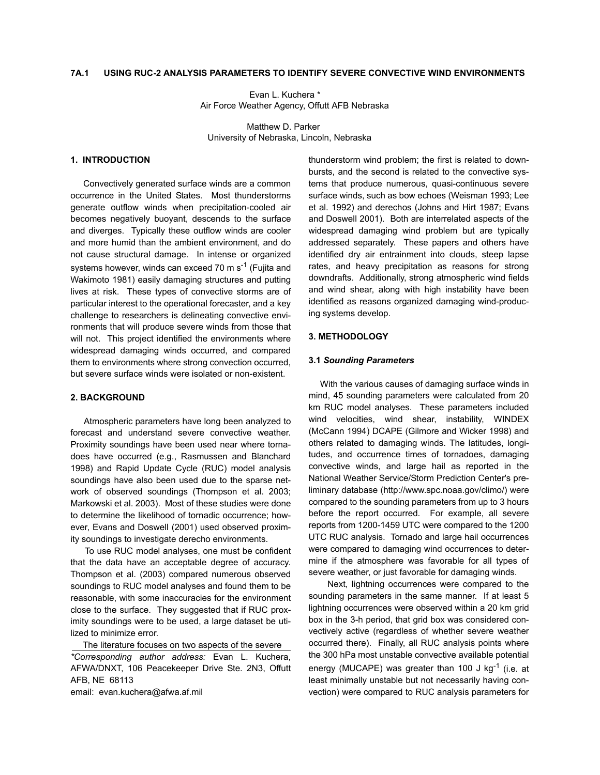#### **7A.1 USING RUC-2 ANALYSIS PARAMETERS TO IDENTIFY SEVERE CONVECTIVE WIND ENVIRONMENTS**

 Evan L. Kuchera \* Air Force Weather Agency, Offutt AFB Nebraska

 Matthew D. Parker University of Nebraska, Lincoln, Nebraska

#### **1. INTRODUCTION**

 Convectively generated surface winds are a common occurrence in the United States. Most thunderstorms generate outflow winds when precipitation-cooled air becomes negatively buoyant, descends to the surface and diverges. Typically these outflow winds are cooler and more humid than the ambient environment, and do not cause structural damage. In intense or organized systems however, winds can exceed 70 m  $s^{-1}$  (Fujita and Wakimoto 1981) easily damaging structures and putting lives at risk. These types of convective storms are of particular interest to the operational forecaster, and a key challenge to researchers is delineating convective environments that will produce severe winds from those that will not. This project identified the environments where widespread damaging winds occurred, and compared them to environments where strong convection occurred, but severe surface winds were isolated or non-existent.

## **2. BACKGROUND**

 Atmospheric parameters have long been analyzed to forecast and understand severe convective weather. Proximity soundings have been used near where tornadoes have occurred (e.g., Rasmussen and Blanchard 1998) and Rapid Update Cycle (RUC) model analysis soundings have also been used due to the sparse network of observed soundings (Thompson et al. 2003; Markowski et al. 2003). Most of these studies were done to determine the likelihood of tornadic occurrence; however, Evans and Doswell (2001) used observed proximity soundings to investigate derecho environments.

 To use RUC model analyses, one must be confident that the data have an acceptable degree of accuracy. Thompson et al. (2003) compared numerous observed soundings to RUC model analyses and found them to be reasonable, with some inaccuracies for the environment close to the surface. They suggested that if RUC proximity soundings were to be used, a large dataset be utilized to minimize error.

 The literature focuses on two aspects of the severe *\*Corresponding author address:* Evan L. Kuchera, AFWA/DNXT, 106 Peacekeeper Drive Ste. 2N3, Offutt AFB, NE 68113

email: evan.kuchera@afwa.af.mil

thunderstorm wind problem; the first is related to downbursts, and the second is related to the convective systems that produce numerous, quasi-continuous severe surface winds, such as bow echoes (Weisman 1993; Lee et al. 1992) and derechos (Johns and Hirt 1987; Evans and Doswell 2001). Both are interrelated aspects of the widespread damaging wind problem but are typically addressed separately. These papers and others have identified dry air entrainment into clouds, steep lapse rates, and heavy precipitation as reasons for strong downdrafts. Additionally, strong atmospheric wind fields and wind shear, along with high instability have been identified as reasons organized damaging wind-producing systems develop.

#### **3. METHODOLOGY**

#### **3.1** *Sounding Parameters*

 With the various causes of damaging surface winds in mind, 45 sounding parameters were calculated from 20 km RUC model analyses. These parameters included wind velocities, wind shear, instability, WINDEX (McCann 1994) DCAPE (Gilmore and Wicker 1998) and others related to damaging winds. The latitudes, longitudes, and occurrence times of tornadoes, damaging convective winds, and large hail as reported in the National Weather Service/Storm Prediction Center's preliminary database (http://www.spc.noaa.gov/climo/) were compared to the sounding parameters from up to 3 hours before the report occurred. For example, all severe reports from 1200-1459 UTC were compared to the 1200 UTC RUC analysis. Tornado and large hail occurrences were compared to damaging wind occurrences to determine if the atmosphere was favorable for all types of severe weather, or just favorable for damaging winds.

 Next, lightning occurrences were compared to the sounding parameters in the same manner. If at least 5 lightning occurrences were observed within a 20 km grid box in the 3-h period, that grid box was considered convectively active (regardless of whether severe weather occurred there). Finally, all RUC analysis points where the 300 hPa most unstable convective available potential energy (MUCAPE) was greater than 100 J kg<sup>-1</sup> (i.e. at least minimally unstable but not necessarily having convection) were compared to RUC analysis parameters for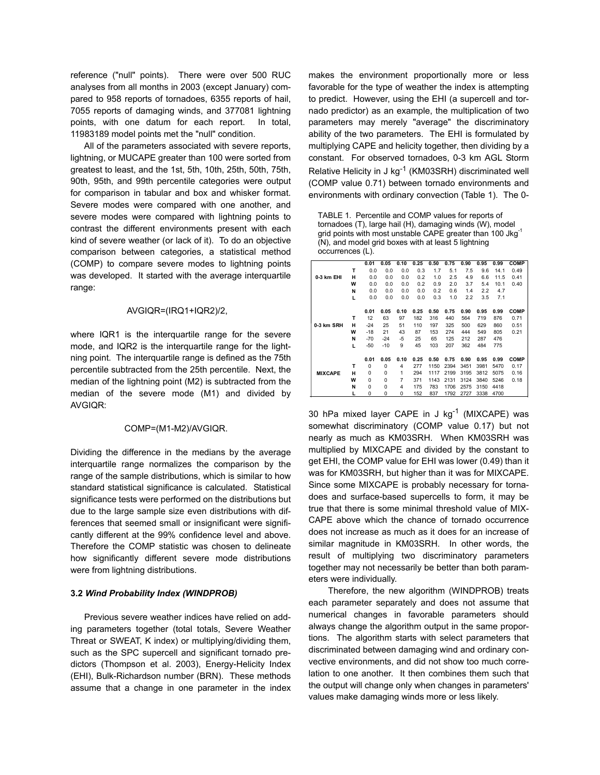reference ("null" points). There were over 500 RUC analyses from all months in 2003 (except January) compared to 958 reports of tornadoes, 6355 reports of hail, 7055 reports of damaging winds, and 377081 lightning points, with one datum for each report. In total, 11983189 model points met the "null" condition.

 All of the parameters associated with severe reports, lightning, or MUCAPE greater than 100 were sorted from greatest to least, and the 1st, 5th, 10th, 25th, 50th, 75th, 90th, 95th, and 99th percentile categories were output for comparison in tabular and box and whisker format. Severe modes were compared with one another, and severe modes were compared with lightning points to contrast the different environments present with each kind of severe weather (or lack of it). To do an objective comparison between categories, a statistical method (COMP) to compare severe modes to lightning points was developed. It started with the average interquartile range:

#### AVGIQR=(IRQ1+IQR2)/2,

where IQR1 is the interquartile range for the severe mode, and IQR2 is the interquartile range for the lightning point. The interquartile range is defined as the 75th percentile subtracted from the 25th percentile. Next, the median of the lightning point (M2) is subtracted from the median of the severe mode (M1) and divided by AVGIQR:

#### COMP=(M1-M2)/AVGIQR.

Dividing the difference in the medians by the average interquartile range normalizes the comparison by the range of the sample distributions, which is similar to how standard statistical significance is calculated. Statistical significance tests were performed on the distributions but due to the large sample size even distributions with differences that seemed small or insignificant were significantly different at the 99% confidence level and above. Therefore the COMP statistic was chosen to delineate how significantly different severe mode distributions were from lightning distributions.

#### **3.2** *Wind Probability Index (WINDPROB)*

 Previous severe weather indices have relied on adding parameters together (total totals, Severe Weather Threat or SWEAT, K index) or multiplying/dividing them, such as the SPC supercell and significant tornado predictors (Thompson et al. 2003), Energy-Helicity Index (EHI), Bulk-Richardson number (BRN). These methods assume that a change in one parameter in the index makes the environment proportionally more or less favorable for the type of weather the index is attempting to predict. However, using the EHI (a supercell and tornado predictor) as an example, the multiplication of two parameters may merely "average" the discriminatory ability of the two parameters. The EHI is formulated by multiplying CAPE and helicity together, then dividing by a constant. For observed tornadoes, 0-3 km AGL Storm Relative Helicity in J  $kg^{-1}$  (KM03SRH) discriminated well (COMP value 0.71) between tornado environments and environments with ordinary convection (Table 1). The 0-

TABLE 1. Percentile and COMP values for reports of tornadoes (T), large hail (H), damaging winds (W), model grid points with most unstable CAPE greater than 100 Jkg<sup>-1</sup> (N), and model grid boxes with at least 5 lightning occurrences (L).

|                |   | 0.01     | 0.05     | 0.10 | 0.25 | 0.50 | 0.75 | 0.90 | 0.95 | 0.99 | <b>COMP</b> |
|----------------|---|----------|----------|------|------|------|------|------|------|------|-------------|
|                | т | 0.0      | 0.0      | 0.0  | 0.3  | 1.7  | 5.1  | 7.5  | 9.6  | 14.1 | 0.49        |
| 0-3 km EHI     | н | 0.0      | 0.0      | 0.0  | 0.2  | 1.0  | 2.5  | 4.9  | 6.6  | 11.5 | 0.41        |
|                | W | 0.0      | 0.0      | 0.0  | 0.2  | 0.9  | 2.0  | 3.7  | 5.4  | 10.1 | 0.40        |
|                | N | 0.0      | 0.0      | 0.0  | 0.0  | 0.2  | 0.6  | 1.4  | 2.2  | 4.7  |             |
|                | L | 0.0      | 0.0      | 0.0  | 0.0  | 0.3  | 1.0  | 2.2  | 3.5  | 7.1  |             |
|                |   |          |          |      |      |      |      |      |      |      |             |
|                |   | 0.01     | 0.05     | 0.10 | 0.25 | 0.50 | 0.75 | 0.90 | 0.95 | 0.99 | <b>COMP</b> |
|                | т | 12       | 63       | 97   | 182  | 316  | 440  | 564  | 719  | 876  | 0.71        |
| 0-3 km SRH     | н | $-24$    | 25       | 51   | 110  | 197  | 325  | 500  | 629  | 860  | 0.51        |
|                | W | $-18$    | 21       | 43   | 87   | 153  | 274  | 444  | 549  | 805  | 0.21        |
|                | N | $-70$    | $-24$    | $-5$ | 25   | 65   | 125  | 212  | 287  | 476  |             |
|                | п | $-50$    | $-10$    | 9    | 45   | 103  | 207  | 362  | 484  | 775  |             |
|                |   |          |          |      |      |      |      |      |      |      |             |
|                |   | 0.01     | 0.05     | 0.10 | 0.25 | 0.50 | 0.75 | 0.90 | 0.95 | 0.99 | <b>COMP</b> |
|                | т | 0        | 0        | 4    | 277  | 1150 | 2394 | 3451 | 3981 | 5470 | 0.17        |
| <b>MIXCAPE</b> | н | 0        | 0        | 1    | 294  | 1117 | 2199 | 3195 | 3812 | 5075 | 0.16        |
|                | W | $\Omega$ | 0        | 7    | 371  | 1143 | 2131 | 3124 | 3840 | 5246 | 0.18        |
|                | N | 0        | 0        | 4    | 175  | 783  | 1706 | 2575 | 3150 | 4418 |             |
|                |   | 0        | $\Omega$ | 0    | 152  | 837  | 1792 | 2727 | 3338 | 4700 |             |

30 hPa mixed layer CAPE in J kg<sup>-1</sup> (MIXCAPE) was somewhat discriminatory (COMP value 0.17) but not nearly as much as KM03SRH. When KM03SRH was multiplied by MIXCAPE and divided by the constant to get EHI, the COMP value for EHI was lower (0.49) than it was for KM03SRH, but higher than it was for MIXCAPE. Since some MIXCAPE is probably necessary for tornadoes and surface-based supercells to form, it may be true that there is some minimal threshold value of MIX-CAPE above which the chance of tornado occurrence does not increase as much as it does for an increase of similar magnitude in KM03SRH. In other words, the result of multiplying two discriminatory parameters together may not necessarily be better than both parameters were individually.

 Therefore, the new algorithm (WINDPROB) treats each parameter separately and does not assume that numerical changes in favorable parameters should always change the algorithm output in the same proportions. The algorithm starts with select parameters that discriminated between damaging wind and ordinary convective environments, and did not show too much correlation to one another. It then combines them such that the output will change only when changes in parameters' values make damaging winds more or less likely.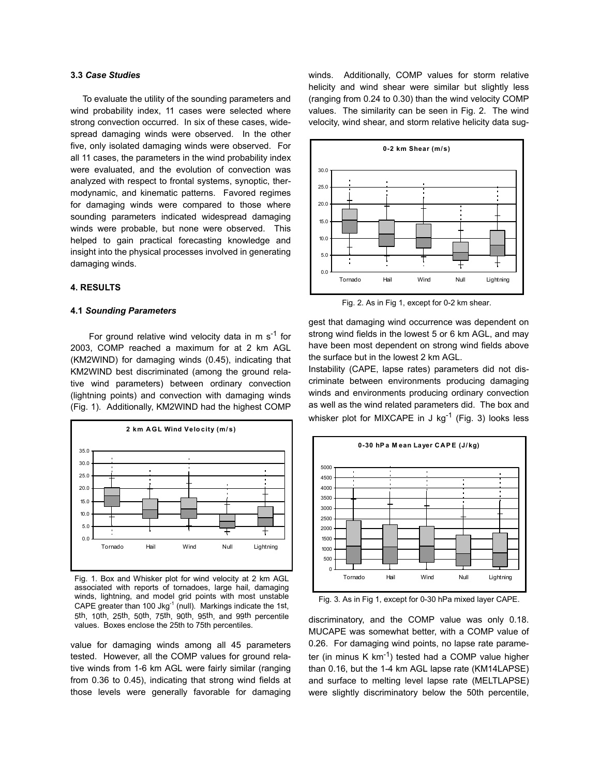## **3.3** *Case Studies*

 To evaluate the utility of the sounding parameters and wind probability index, 11 cases were selected where strong convection occurred. In six of these cases, widespread damaging winds were observed. In the other five, only isolated damaging winds were observed. For all 11 cases, the parameters in the wind probability index were evaluated, and the evolution of convection was analyzed with respect to frontal systems, synoptic, thermodynamic, and kinematic patterns. Favored regimes for damaging winds were compared to those where sounding parameters indicated widespread damaging winds were probable, but none were observed. This helped to gain practical forecasting knowledge and insight into the physical processes involved in generating damaging winds.

## **4. RESULTS**

#### **4.1** *Sounding Parameters*

For ground relative wind velocity data in m  $s^{-1}$  for 2003, COMP reached a maximum for at 2 km AGL (KM2WIND) for damaging winds (0.45), indicating that KM2WIND best discriminated (among the ground relative wind parameters) between ordinary convection (lightning points) and convection with damaging winds (Fig. 1). Additionally, KM2WIND had the highest COMP



Fig. 1. Box and Whisker plot for wind velocity at 2 km AGL associated with reports of tornadoes, large hail, damaging winds, lightning, and model grid points with most unstable CAPE greater than 100 Jkg $^{-1}$  (null). Markings indicate the 1st, 5th, 10th, 25th, 50th, 75th, 90th, 95th, and 99th percentile values. Boxes enclose the 25th to 75th percentiles.

value for damaging winds among all 45 parameters tested. However, all the COMP values for ground relative winds from 1-6 km AGL were fairly similar (ranging from 0.36 to 0.45), indicating that strong wind fields at those levels were generally favorable for damaging

winds. Additionally, COMP values for storm relative helicity and wind shear were similar but slightly less (ranging from 0.24 to 0.30) than the wind velocity COMP values. The similarity can be seen in Fig. 2. The wind velocity, wind shear, and storm relative helicity data sug-



Fig. 2. As in Fig 1, except for 0-2 km shear.

gest that damaging wind occurrence was dependent on strong wind fields in the lowest 5 or 6 km AGL, and may have been most dependent on strong wind fields above the surface but in the lowest 2 km AGL.

Instability (CAPE, lapse rates) parameters did not discriminate between environments producing damaging winds and environments producing ordinary convection as well as the wind related parameters did. The box and whisker plot for MIXCAPE in J  $kg^{-1}$  (Fig. 3) looks less



Fig. 3. As in Fig 1, except for 0-30 hPa mixed layer CAPE.

discriminatory, and the COMP value was only 0.18. MUCAPE was somewhat better, with a COMP value of 0.26. For damaging wind points, no lapse rate parameter (in minus K  $km^{-1}$ ) tested had a COMP value higher than 0.16, but the 1-4 km AGL lapse rate (KM14LAPSE) and surface to melting level lapse rate (MELTLAPSE) were slightly discriminatory below the 50th percentile,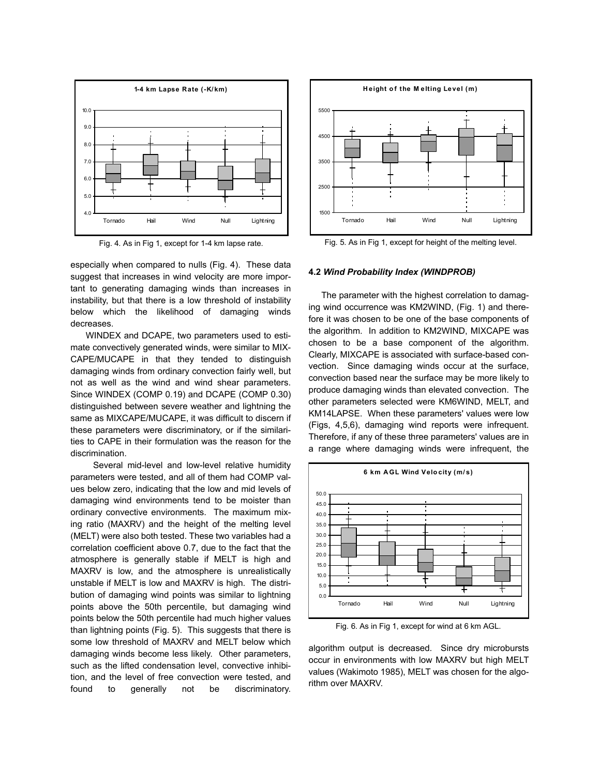

Fig. 4. As in Fig 1, except for 1-4 km lapse rate.

especially when compared to nulls (Fig. 4). These data suggest that increases in wind velocity are more important to generating damaging winds than increases in instability, but that there is a low threshold of instability below which the likelihood of damaging winds decreases.

 WINDEX and DCAPE, two parameters used to estimate convectively generated winds, were similar to MIX-CAPE/MUCAPE in that they tended to distinguish damaging winds from ordinary convection fairly well, but not as well as the wind and wind shear parameters. Since WINDEX (COMP 0.19) and DCAPE (COMP 0.30) distinguished between severe weather and lightning the same as MIXCAPE/MUCAPE, it was difficult to discern if these parameters were discriminatory, or if the similarities to CAPE in their formulation was the reason for the discrimination.

 Several mid-level and low-level relative humidity parameters were tested, and all of them had COMP values below zero, indicating that the low and mid levels of damaging wind environments tend to be moister than ordinary convective environments. The maximum mixing ratio (MAXRV) and the height of the melting level (MELT) were also both tested. These two variables had a correlation coefficient above 0.7, due to the fact that the atmosphere is generally stable if MELT is high and MAXRV is low, and the atmosphere is unrealistically unstable if MELT is low and MAXRV is high. The distribution of damaging wind points was similar to lightning points above the 50th percentile, but damaging wind points below the 50th percentile had much higher values than lightning points (Fig. 5). This suggests that there is some low threshold of MAXRV and MELT below which damaging winds become less likely. Other parameters, such as the lifted condensation level, convective inhibition, and the level of free convection were tested, and found to generally not be discriminatory.



Fig. 5. As in Fig 1, except for height of the melting level.

#### **4.2** *Wind Probability Index (WINDPROB)*

 The parameter with the highest correlation to damaging wind occurrence was KM2WIND, (Fig. 1) and therefore it was chosen to be one of the base components of the algorithm. In addition to KM2WIND, MIXCAPE was chosen to be a base component of the algorithm. Clearly, MIXCAPE is associated with surface-based convection. Since damaging winds occur at the surface, convection based near the surface may be more likely to produce damaging winds than elevated convection. The other parameters selected were KM6WIND, MELT, and KM14LAPSE. When these parameters' values were low (Figs, 4,5,6), damaging wind reports were infrequent. Therefore, if any of these three parameters' values are in a range where damaging winds were infrequent, the



Fig. 6. As in Fig 1, except for wind at 6 km AGL.

algorithm output is decreased. Since dry microbursts occur in environments with low MAXRV but high MELT values (Wakimoto 1985), MELT was chosen for the algorithm over MAXRV.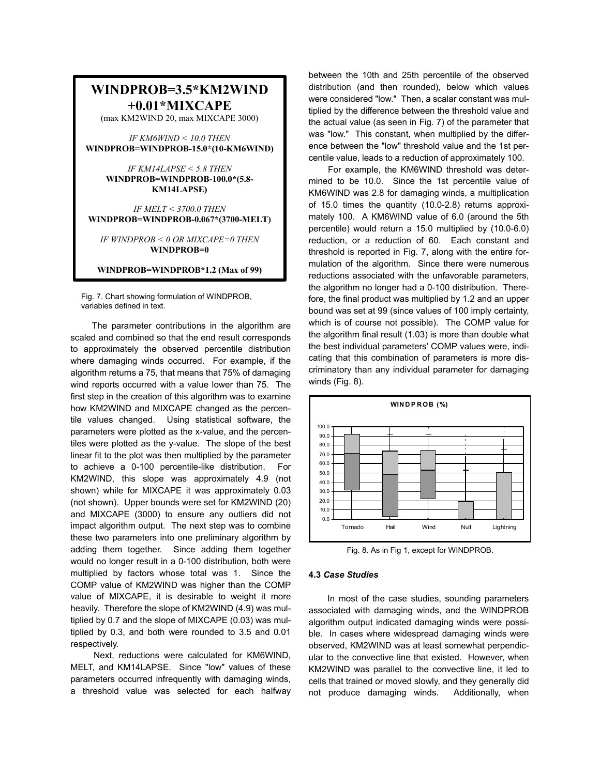# **WINDPROB=3.5\*KM2WIND +0.01\*MIXCAPE**

(max KM2WIND 20, max MIXCAPE 3000)

*IF KM6WIND < 10.0 THEN*  **WINDPROB=WINDPROB-15.0\*(10-KM6WIND)** 

> *IF KM14LAPSE < 5.8 THEN*  **WINDPROB=WINDPROB-100.0\*(5.8- KM14LAPSE)**

*IF MELT < 3700.0 THEN*  **WINDPROB=WINDPROB-0.067\*(3700-MELT)** 

*IF WINDPROB < 0 OR MIXCAPE=0 THEN*  **WINDPROB=0** 

**WINDPROB=WINDPROB\*1.2 (Max of 99)**

Fig. 7. Chart showing formulation of WINDPROB, variables defined in text.

The parameter contributions in the algorithm are scaled and combined so that the end result corresponds to approximately the observed percentile distribution where damaging winds occurred. For example, if the algorithm returns a 75, that means that 75% of damaging wind reports occurred with a value lower than 75. The first step in the creation of this algorithm was to examine how KM2WIND and MIXCAPE changed as the percentile values changed. Using statistical software, the parameters were plotted as the x-value, and the percentiles were plotted as the y-value. The slope of the best linear fit to the plot was then multiplied by the parameter to achieve a 0-100 percentile-like distribution. For KM2WIND, this slope was approximately 4.9 (not shown) while for MIXCAPE it was approximately 0.03 (not shown). Upper bounds were set for KM2WIND (20) and MIXCAPE (3000) to ensure any outliers did not impact algorithm output. The next step was to combine these two parameters into one preliminary algorithm by adding them together. Since adding them together would no longer result in a 0-100 distribution, both were multiplied by factors whose total was 1. Since the COMP value of KM2WIND was higher than the COMP value of MIXCAPE, it is desirable to weight it more heavily. Therefore the slope of KM2WIND (4.9) was multiplied by 0.7 and the slope of MIXCAPE (0.03) was multiplied by 0.3, and both were rounded to 3.5 and 0.01 respectively.

 Next, reductions were calculated for KM6WIND, MELT, and KM14LAPSE. Since "low" values of these parameters occurred infrequently with damaging winds, a threshold value was selected for each halfway between the 10th and 25th percentile of the observed distribution (and then rounded), below which values were considered "low." Then, a scalar constant was multiplied by the difference between the threshold value and the actual value (as seen in Fig. 7) of the parameter that was "low." This constant, when multiplied by the difference between the "low" threshold value and the 1st percentile value, leads to a reduction of approximately 100.

 For example, the KM6WIND threshold was determined to be 10.0. Since the 1st percentile value of KM6WIND was 2.8 for damaging winds, a multiplication of 15.0 times the quantity (10.0-2.8) returns approximately 100. A KM6WIND value of 6.0 (around the 5th percentile) would return a 15.0 multiplied by (10.0-6.0) reduction, or a reduction of 60. Each constant and threshold is reported in Fig. 7, along with the entire formulation of the algorithm. Since there were numerous reductions associated with the unfavorable parameters, the algorithm no longer had a 0-100 distribution. Therefore, the final product was multiplied by 1.2 and an upper bound was set at 99 (since values of 100 imply certainty, which is of course not possible). The COMP value for the algorithm final result (1.03) is more than double what the best individual parameters' COMP values were, indicating that this combination of parameters is more discriminatory than any individual parameter for damaging winds (Fig. 8).



Fig. 8. As in Fig 1, except for WINDPROB.

## **4.3** *Case Studies*

 In most of the case studies, sounding parameters associated with damaging winds, and the WINDPROB algorithm output indicated damaging winds were possible. In cases where widespread damaging winds were observed, KM2WIND was at least somewhat perpendicular to the convective line that existed. However, when KM2WIND was parallel to the convective line, it led to cells that trained or moved slowly, and they generally did not produce damaging winds. Additionally, when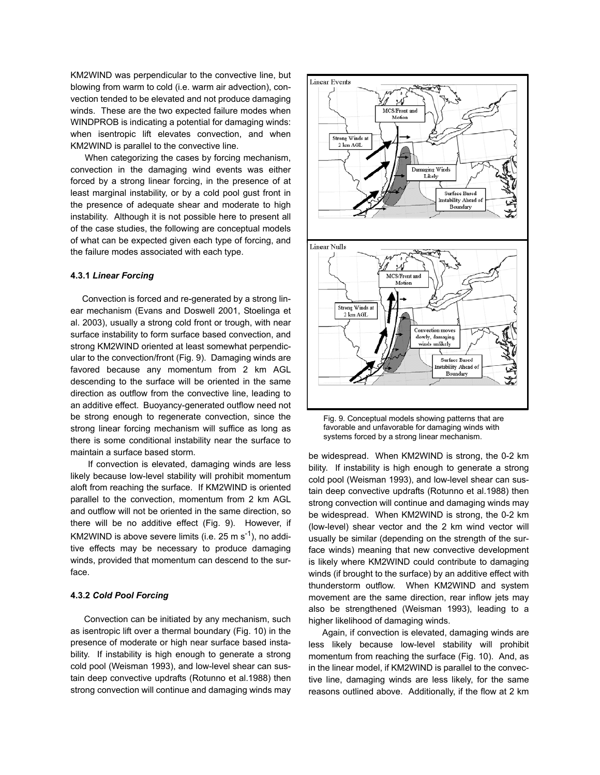KM2WIND was perpendicular to the convective line, but blowing from warm to cold (i.e. warm air advection), convection tended to be elevated and not produce damaging winds. These are the two expected failure modes when WINDPROB is indicating a potential for damaging winds: when isentropic lift elevates convection, and when KM2WIND is parallel to the convective line.

 When categorizing the cases by forcing mechanism, convection in the damaging wind events was either forced by a strong linear forcing, in the presence of at least marginal instability, or by a cold pool gust front in the presence of adequate shear and moderate to high instability. Although it is not possible here to present all of the case studies, the following are conceptual models of what can be expected given each type of forcing, and the failure modes associated with each type.

#### **4.3.1** *Linear Forcing*

 Convection is forced and re-generated by a strong linear mechanism (Evans and Doswell 2001, Stoelinga et al. 2003), usually a strong cold front or trough, with near surface instability to form surface based convection, and strong KM2WIND oriented at least somewhat perpendicular to the convection/front (Fig. 9). Damaging winds are favored because any momentum from 2 km AGL descending to the surface will be oriented in the same direction as outflow from the convective line, leading to an additive effect. Buoyancy-generated outflow need not be strong enough to regenerate convection, since the strong linear forcing mechanism will suffice as long as there is some conditional instability near the surface to maintain a surface based storm.

 If convection is elevated, damaging winds are less likely because low-level stability will prohibit momentum aloft from reaching the surface. If KM2WIND is oriented parallel to the convection, momentum from 2 km AGL and outflow will not be oriented in the same direction, so there will be no additive effect (Fig. 9). However, if KM2WIND is above severe limits (i.e.  $25 \text{ m s}^{-1}$ ), no additive effects may be necessary to produce damaging winds, provided that momentum can descend to the surface.

#### **4.3.2** *Cold Pool Forcing*

 Convection can be initiated by any mechanism, such as isentropic lift over a thermal boundary (Fig. 10) in the presence of moderate or high near surface based instability. If instability is high enough to generate a strong cold pool (Weisman 1993), and low-level shear can sustain deep convective updrafts (Rotunno et al.1988) then strong convection will continue and damaging winds may



Fig. 9. Conceptual models showing patterns that are favorable and unfavorable for damaging winds with systems forced by a strong linear mechanism.

be widespread. When KM2WIND is strong, the 0-2 km bility. If instability is high enough to generate a strong cold pool (Weisman 1993), and low-level shear can sustain deep convective updrafts (Rotunno et al.1988) then strong convection will continue and damaging winds may be widespread. When KM2WIND is strong, the 0-2 km (low-level) shear vector and the 2 km wind vector will usually be similar (depending on the strength of the surface winds) meaning that new convective development is likely where KM2WIND could contribute to damaging winds (if brought to the surface) by an additive effect with thunderstorm outflow. When KM2WIND and system movement are the same direction, rear inflow jets may also be strengthened (Weisman 1993), leading to a higher likelihood of damaging winds.

 Again, if convection is elevated, damaging winds are less likely because low-level stability will prohibit momentum from reaching the surface (Fig. 10). And, as in the linear model, if KM2WIND is parallel to the convective line, damaging winds are less likely, for the same reasons outlined above. Additionally, if the flow at 2 km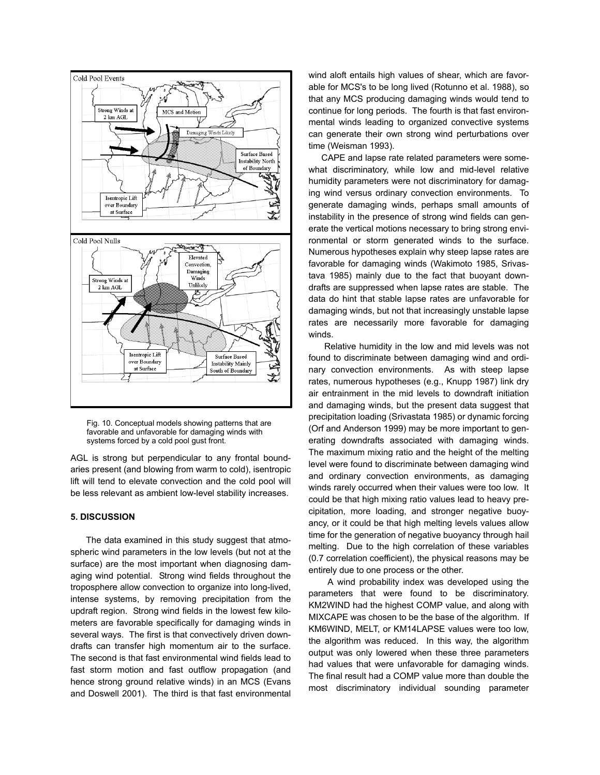

Fig. 10. Conceptual models showing patterns that are favorable and unfavorable for damaging winds with systems forced by a cold pool gust front.

AGL is strong but perpendicular to any frontal boundaries present (and blowing from warm to cold), isentropic lift will tend to elevate convection and the cold pool will be less relevant as ambient low-level stability increases.

### **5. DISCUSSION**

 The data examined in this study suggest that atmospheric wind parameters in the low levels (but not at the surface) are the most important when diagnosing damaging wind potential. Strong wind fields throughout the troposphere allow convection to organize into long-lived, intense systems, by removing precipitation from the updraft region. Strong wind fields in the lowest few kilometers are favorable specifically for damaging winds in several ways. The first is that convectively driven downdrafts can transfer high momentum air to the surface. The second is that fast environmental wind fields lead to fast storm motion and fast outflow propagation (and hence strong ground relative winds) in an MCS (Evans and Doswell 2001). The third is that fast environmental

wind aloft entails high values of shear, which are favorable for MCS's to be long lived (Rotunno et al. 1988), so that any MCS producing damaging winds would tend to continue for long periods. The fourth is that fast environmental winds leading to organized convective systems can generate their own strong wind perturbations over time (Weisman 1993).

 CAPE and lapse rate related parameters were somewhat discriminatory, while low and mid-level relative humidity parameters were not discriminatory for damaging wind versus ordinary convection environments. To generate damaging winds, perhaps small amounts of instability in the presence of strong wind fields can generate the vertical motions necessary to bring strong environmental or storm generated winds to the surface. Numerous hypotheses explain why steep lapse rates are favorable for damaging winds (Wakimoto 1985, Srivastava 1985) mainly due to the fact that buoyant downdrafts are suppressed when lapse rates are stable. The data do hint that stable lapse rates are unfavorable for damaging winds, but not that increasingly unstable lapse rates are necessarily more favorable for damaging winds.

 Relative humidity in the low and mid levels was not found to discriminate between damaging wind and ordinary convection environments. As with steep lapse rates, numerous hypotheses (e.g., Knupp 1987) link dry air entrainment in the mid levels to downdraft initiation and damaging winds, but the present data suggest that precipitation loading (Srivastata 1985) or dynamic forcing (Orf and Anderson 1999) may be more important to generating downdrafts associated with damaging winds. The maximum mixing ratio and the height of the melting level were found to discriminate between damaging wind and ordinary convection environments, as damaging winds rarely occurred when their values were too low. It could be that high mixing ratio values lead to heavy precipitation, more loading, and stronger negative buoyancy, or it could be that high melting levels values allow time for the generation of negative buoyancy through hail melting. Due to the high correlation of these variables (0.7 correlation coefficient), the physical reasons may be entirely due to one process or the other.

 A wind probability index was developed using the parameters that were found to be discriminatory. KM2WIND had the highest COMP value, and along with MIXCAPE was chosen to be the base of the algorithm. If KM6WIND, MELT, or KM14LAPSE values were too low, the algorithm was reduced. In this way, the algorithm output was only lowered when these three parameters had values that were unfavorable for damaging winds. The final result had a COMP value more than double the most discriminatory individual sounding parameter